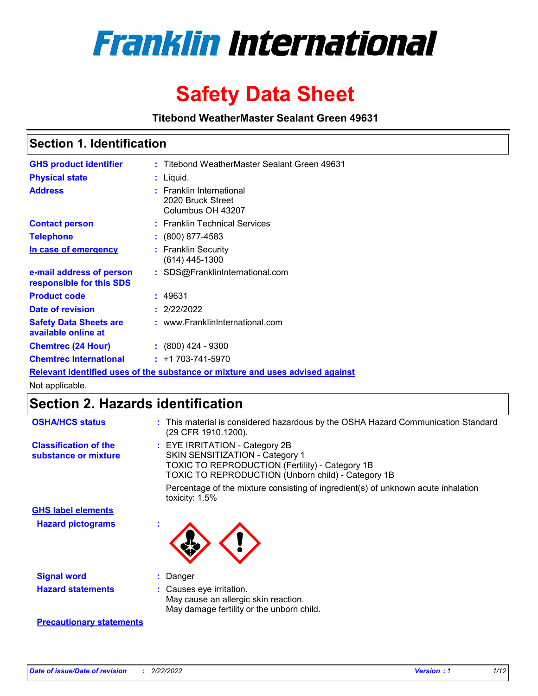

# **Safety Data Sheet**

**Titebond WeatherMaster Sealant Green 49631**

### **Section 1. Identification**

| <b>GHS product identifier</b>                                                 |  | : Titebond WeatherMaster Sealant Green 49631                       |  |  |  |
|-------------------------------------------------------------------------------|--|--------------------------------------------------------------------|--|--|--|
| <b>Physical state</b>                                                         |  | : Liquid.                                                          |  |  |  |
| <b>Address</b>                                                                |  | : Franklin International<br>2020 Bruck Street<br>Columbus OH 43207 |  |  |  |
| <b>Contact person</b>                                                         |  | : Franklin Technical Services                                      |  |  |  |
| <b>Telephone</b>                                                              |  | $\colon$ (800) 877-4583                                            |  |  |  |
| In case of emergency                                                          |  | : Franklin Security<br>(614) 445-1300                              |  |  |  |
| e-mail address of person<br>responsible for this SDS                          |  | : SDS@FranklinInternational.com                                    |  |  |  |
| <b>Product code</b>                                                           |  | : 49631                                                            |  |  |  |
| Date of revision                                                              |  | : 2/22/2022                                                        |  |  |  |
| <b>Safety Data Sheets are</b><br>available online at                          |  | : www.FranklinInternational.com                                    |  |  |  |
| <b>Chemtrec (24 Hour)</b>                                                     |  | : (800) 424 - 9300                                                 |  |  |  |
| <b>Chemtrec International</b>                                                 |  | $: +1703 - 741 - 5970$                                             |  |  |  |
| Relevant identified uses of the substance or mixture and uses advised against |  |                                                                    |  |  |  |

Not applicable.

## **Section 2. Hazards identification**

| <b>OSHA/HCS status</b>                               | : This material is considered hazardous by the OSHA Hazard Communication Standard<br>(29 CFR 1910.1200).                                                                                 |
|------------------------------------------------------|------------------------------------------------------------------------------------------------------------------------------------------------------------------------------------------|
| <b>Classification of the</b><br>substance or mixture | : EYE IRRITATION - Category 2B<br>SKIN SENSITIZATION - Category 1<br><b>TOXIC TO REPRODUCTION (Fertility) - Category 1B</b><br><b>TOXIC TO REPRODUCTION (Unborn child) - Category 1B</b> |
|                                                      | Percentage of the mixture consisting of ingredient(s) of unknown acute inhalation<br>toxicity: $1.5\%$                                                                                   |
| <b>GHS label elements</b>                            |                                                                                                                                                                                          |
| <b>Hazard pictograms</b>                             |                                                                                                                                                                                          |
| <b>Signal word</b>                                   | : Danger                                                                                                                                                                                 |
| <b>Hazard statements</b>                             | : Causes eye irritation.<br>May cause an allergic skin reaction.<br>May damage fertility or the unborn child.                                                                            |
| <b>Precautionary statements</b>                      |                                                                                                                                                                                          |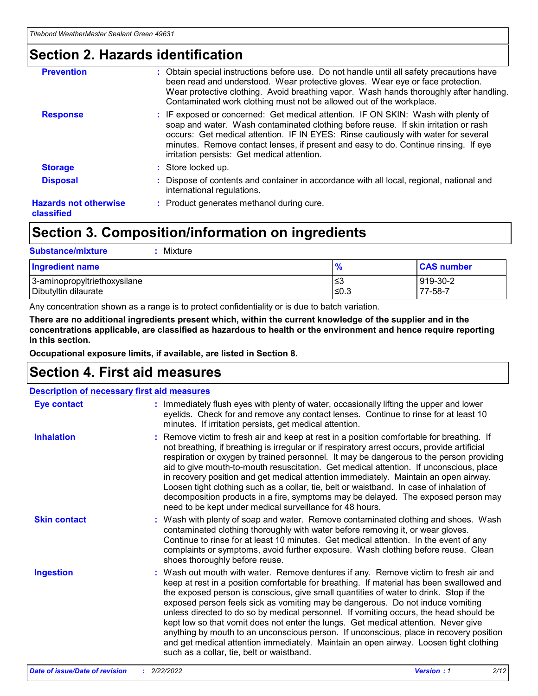### **Section 2. Hazards identification**

| <b>Prevention</b>                          | : Obtain special instructions before use. Do not handle until all safety precautions have<br>been read and understood. Wear protective gloves. Wear eye or face protection.<br>Wear protective clothing. Avoid breathing vapor. Wash hands thoroughly after handling.<br>Contaminated work clothing must not be allowed out of the workplace.                                                        |
|--------------------------------------------|------------------------------------------------------------------------------------------------------------------------------------------------------------------------------------------------------------------------------------------------------------------------------------------------------------------------------------------------------------------------------------------------------|
| <b>Response</b>                            | : IF exposed or concerned: Get medical attention. IF ON SKIN: Wash with plenty of<br>soap and water. Wash contaminated clothing before reuse. If skin irritation or rash<br>occurs: Get medical attention. IF IN EYES: Rinse cautiously with water for several<br>minutes. Remove contact lenses, if present and easy to do. Continue rinsing. If eye<br>irritation persists: Get medical attention. |
| <b>Storage</b>                             | : Store locked up.                                                                                                                                                                                                                                                                                                                                                                                   |
| <b>Disposal</b>                            | : Dispose of contents and container in accordance with all local, regional, national and<br>international regulations.                                                                                                                                                                                                                                                                               |
| <b>Hazards not otherwise</b><br>classified | : Product generates methanol during cure.                                                                                                                                                                                                                                                                                                                                                            |
|                                            |                                                                                                                                                                                                                                                                                                                                                                                                      |

### **Section 3. Composition/information on ingredients**

| <b>Substance/mixture</b><br>Mixture                  |               |                     |
|------------------------------------------------------|---------------|---------------------|
| <b>Ingredient name</b>                               | $\frac{9}{6}$ | <b>CAS number</b>   |
| 3-aminopropyltriethoxysilane<br>Dibutyltin dilaurate | ≤3<br>$≤0.3$  | 919-30-2<br>77-58-7 |

Any concentration shown as a range is to protect confidentiality or is due to batch variation.

**There are no additional ingredients present which, within the current knowledge of the supplier and in the concentrations applicable, are classified as hazardous to health or the environment and hence require reporting in this section.**

**Occupational exposure limits, if available, are listed in Section 8.**

### **Section 4. First aid measures**

| <b>Description of necessary first aid measures</b> |                                                                                                                                                                                                                                                                                                                                                                                                                                                                                                                                                                                                                                                                                                                                                                           |  |  |  |
|----------------------------------------------------|---------------------------------------------------------------------------------------------------------------------------------------------------------------------------------------------------------------------------------------------------------------------------------------------------------------------------------------------------------------------------------------------------------------------------------------------------------------------------------------------------------------------------------------------------------------------------------------------------------------------------------------------------------------------------------------------------------------------------------------------------------------------------|--|--|--|
| <b>Eye contact</b>                                 | : Immediately flush eyes with plenty of water, occasionally lifting the upper and lower<br>eyelids. Check for and remove any contact lenses. Continue to rinse for at least 10<br>minutes. If irritation persists, get medical attention.                                                                                                                                                                                                                                                                                                                                                                                                                                                                                                                                 |  |  |  |
| <b>Inhalation</b>                                  | : Remove victim to fresh air and keep at rest in a position comfortable for breathing. If<br>not breathing, if breathing is irregular or if respiratory arrest occurs, provide artificial<br>respiration or oxygen by trained personnel. It may be dangerous to the person providing<br>aid to give mouth-to-mouth resuscitation. Get medical attention. If unconscious, place<br>in recovery position and get medical attention immediately. Maintain an open airway.<br>Loosen tight clothing such as a collar, tie, belt or waistband. In case of inhalation of<br>decomposition products in a fire, symptoms may be delayed. The exposed person may<br>need to be kept under medical surveillance for 48 hours.                                                       |  |  |  |
| <b>Skin contact</b>                                | : Wash with plenty of soap and water. Remove contaminated clothing and shoes. Wash<br>contaminated clothing thoroughly with water before removing it, or wear gloves.<br>Continue to rinse for at least 10 minutes. Get medical attention. In the event of any<br>complaints or symptoms, avoid further exposure. Wash clothing before reuse. Clean<br>shoes thoroughly before reuse.                                                                                                                                                                                                                                                                                                                                                                                     |  |  |  |
| <b>Ingestion</b>                                   | : Wash out mouth with water. Remove dentures if any. Remove victim to fresh air and<br>keep at rest in a position comfortable for breathing. If material has been swallowed and<br>the exposed person is conscious, give small quantities of water to drink. Stop if the<br>exposed person feels sick as vomiting may be dangerous. Do not induce vomiting<br>unless directed to do so by medical personnel. If vomiting occurs, the head should be<br>kept low so that vomit does not enter the lungs. Get medical attention. Never give<br>anything by mouth to an unconscious person. If unconscious, place in recovery position<br>and get medical attention immediately. Maintain an open airway. Loosen tight clothing<br>such as a collar, tie, belt or waistband. |  |  |  |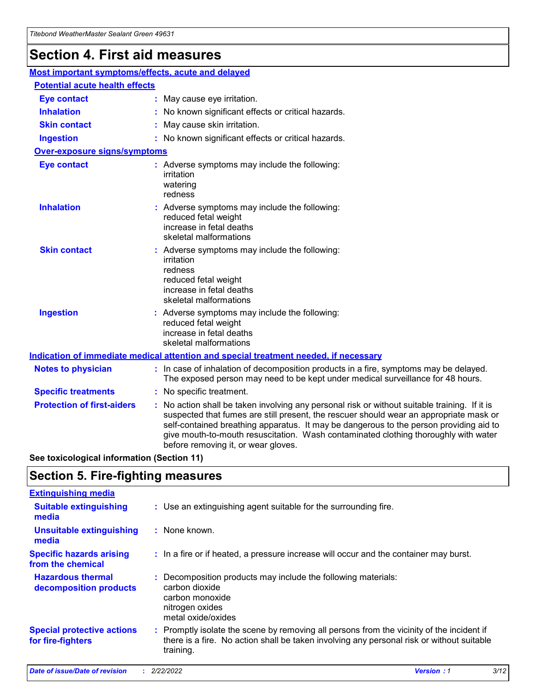## **Section 4. First aid measures**

| Most important symptoms/effects, acute and delayed                                          |                                                                                                                             |                                                                                                                                                                                                                                                                                                                                                                                                                 |  |  |
|---------------------------------------------------------------------------------------------|-----------------------------------------------------------------------------------------------------------------------------|-----------------------------------------------------------------------------------------------------------------------------------------------------------------------------------------------------------------------------------------------------------------------------------------------------------------------------------------------------------------------------------------------------------------|--|--|
| <b>Potential acute health effects</b>                                                       |                                                                                                                             |                                                                                                                                                                                                                                                                                                                                                                                                                 |  |  |
| <b>Eye contact</b>                                                                          |                                                                                                                             | : May cause eye irritation.                                                                                                                                                                                                                                                                                                                                                                                     |  |  |
| <b>Inhalation</b>                                                                           |                                                                                                                             | : No known significant effects or critical hazards.                                                                                                                                                                                                                                                                                                                                                             |  |  |
| <b>Skin contact</b>                                                                         |                                                                                                                             | : May cause skin irritation.                                                                                                                                                                                                                                                                                                                                                                                    |  |  |
| <b>Ingestion</b>                                                                            |                                                                                                                             | : No known significant effects or critical hazards.                                                                                                                                                                                                                                                                                                                                                             |  |  |
| <b>Over-exposure signs/symptoms</b>                                                         |                                                                                                                             |                                                                                                                                                                                                                                                                                                                                                                                                                 |  |  |
| <b>Eye contact</b>                                                                          |                                                                                                                             | : Adverse symptoms may include the following:<br>irritation<br>watering<br>redness                                                                                                                                                                                                                                                                                                                              |  |  |
| <b>Inhalation</b>                                                                           |                                                                                                                             | : Adverse symptoms may include the following:<br>reduced fetal weight<br>increase in fetal deaths<br>skeletal malformations                                                                                                                                                                                                                                                                                     |  |  |
| <b>Skin contact</b>                                                                         |                                                                                                                             | : Adverse symptoms may include the following:<br>irritation<br>redness<br>reduced fetal weight<br>increase in fetal deaths<br>skeletal malformations                                                                                                                                                                                                                                                            |  |  |
| <b>Ingestion</b>                                                                            | : Adverse symptoms may include the following:<br>reduced fetal weight<br>increase in fetal deaths<br>skeletal malformations |                                                                                                                                                                                                                                                                                                                                                                                                                 |  |  |
| <b>Indication of immediate medical attention and special treatment needed, if necessary</b> |                                                                                                                             |                                                                                                                                                                                                                                                                                                                                                                                                                 |  |  |
| <b>Notes to physician</b>                                                                   |                                                                                                                             | : In case of inhalation of decomposition products in a fire, symptoms may be delayed.<br>The exposed person may need to be kept under medical surveillance for 48 hours.                                                                                                                                                                                                                                        |  |  |
| <b>Specific treatments</b>                                                                  |                                                                                                                             | : No specific treatment.                                                                                                                                                                                                                                                                                                                                                                                        |  |  |
| <b>Protection of first-aiders</b>                                                           |                                                                                                                             | : No action shall be taken involving any personal risk or without suitable training. If it is<br>suspected that fumes are still present, the rescuer should wear an appropriate mask or<br>self-contained breathing apparatus. It may be dangerous to the person providing aid to<br>give mouth-to-mouth resuscitation. Wash contaminated clothing thoroughly with water<br>before removing it, or wear gloves. |  |  |

**See toxicological information (Section 11)**

### **Section 5. Fire-fighting measures**

| <b>Extinguishing media</b>                             |                                                                                                                                                                                                     |
|--------------------------------------------------------|-----------------------------------------------------------------------------------------------------------------------------------------------------------------------------------------------------|
| <b>Suitable extinguishing</b><br>media                 | : Use an extinguishing agent suitable for the surrounding fire.                                                                                                                                     |
| <b>Unsuitable extinguishing</b><br>media               | : None known.                                                                                                                                                                                       |
| <b>Specific hazards arising</b><br>from the chemical   | : In a fire or if heated, a pressure increase will occur and the container may burst.                                                                                                               |
| <b>Hazardous thermal</b><br>decomposition products     | : Decomposition products may include the following materials:<br>carbon dioxide<br>carbon monoxide<br>nitrogen oxides<br>metal oxide/oxides                                                         |
| <b>Special protective actions</b><br>for fire-fighters | : Promptly isolate the scene by removing all persons from the vicinity of the incident if<br>there is a fire. No action shall be taken involving any personal risk or without suitable<br>training. |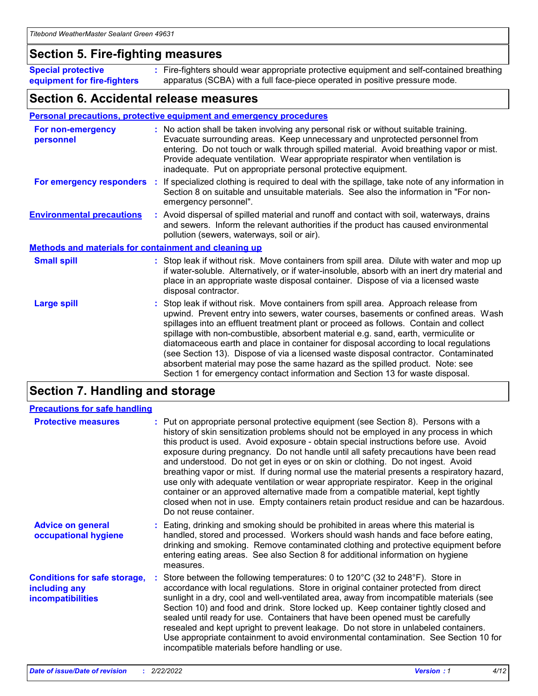### **Section 5. Fire-fighting measures**

**Special protective equipment for fire-fighters** Fire-fighters should wear appropriate protective equipment and self-contained breathing **:** apparatus (SCBA) with a full face-piece operated in positive pressure mode.

### **Section 6. Accidental release measures**

#### **Personal precautions, protective equipment and emergency procedures**

| For non-emergency<br>personnel                               | : No action shall be taken involving any personal risk or without suitable training.<br>Evacuate surrounding areas. Keep unnecessary and unprotected personnel from<br>entering. Do not touch or walk through spilled material. Avoid breathing vapor or mist.<br>Provide adequate ventilation. Wear appropriate respirator when ventilation is<br>inadequate. Put on appropriate personal protective equipment.                                                                                                                                                                                                                                                                                             |
|--------------------------------------------------------------|--------------------------------------------------------------------------------------------------------------------------------------------------------------------------------------------------------------------------------------------------------------------------------------------------------------------------------------------------------------------------------------------------------------------------------------------------------------------------------------------------------------------------------------------------------------------------------------------------------------------------------------------------------------------------------------------------------------|
|                                                              | For emergency responders : If specialized clothing is required to deal with the spillage, take note of any information in<br>Section 8 on suitable and unsuitable materials. See also the information in "For non-<br>emergency personnel".                                                                                                                                                                                                                                                                                                                                                                                                                                                                  |
| <b>Environmental precautions</b>                             | : Avoid dispersal of spilled material and runoff and contact with soil, waterways, drains<br>and sewers. Inform the relevant authorities if the product has caused environmental<br>pollution (sewers, waterways, soil or air).                                                                                                                                                                                                                                                                                                                                                                                                                                                                              |
| <b>Methods and materials for containment and cleaning up</b> |                                                                                                                                                                                                                                                                                                                                                                                                                                                                                                                                                                                                                                                                                                              |
| <b>Small spill</b>                                           | : Stop leak if without risk. Move containers from spill area. Dilute with water and mop up<br>if water-soluble. Alternatively, or if water-insoluble, absorb with an inert dry material and<br>place in an appropriate waste disposal container. Dispose of via a licensed waste<br>disposal contractor.                                                                                                                                                                                                                                                                                                                                                                                                     |
| <b>Large spill</b>                                           | : Stop leak if without risk. Move containers from spill area. Approach release from<br>upwind. Prevent entry into sewers, water courses, basements or confined areas. Wash<br>spillages into an effluent treatment plant or proceed as follows. Contain and collect<br>spillage with non-combustible, absorbent material e.g. sand, earth, vermiculite or<br>diatomaceous earth and place in container for disposal according to local regulations<br>(see Section 13). Dispose of via a licensed waste disposal contractor. Contaminated<br>absorbent material may pose the same hazard as the spilled product. Note: see<br>Section 1 for emergency contact information and Section 13 for waste disposal. |

### **Section 7. Handling and storage**

| <b>Precautions for safe handling</b>                                             |                                                                                                                                                                                                                                                                                                                                                                                                                                                                                                                                                                                                                                                                                                                                                                                                                                                  |
|----------------------------------------------------------------------------------|--------------------------------------------------------------------------------------------------------------------------------------------------------------------------------------------------------------------------------------------------------------------------------------------------------------------------------------------------------------------------------------------------------------------------------------------------------------------------------------------------------------------------------------------------------------------------------------------------------------------------------------------------------------------------------------------------------------------------------------------------------------------------------------------------------------------------------------------------|
| <b>Protective measures</b>                                                       | : Put on appropriate personal protective equipment (see Section 8). Persons with a<br>history of skin sensitization problems should not be employed in any process in which<br>this product is used. Avoid exposure - obtain special instructions before use. Avoid<br>exposure during pregnancy. Do not handle until all safety precautions have been read<br>and understood. Do not get in eyes or on skin or clothing. Do not ingest. Avoid<br>breathing vapor or mist. If during normal use the material presents a respiratory hazard,<br>use only with adequate ventilation or wear appropriate respirator. Keep in the original<br>container or an approved alternative made from a compatible material, kept tightly<br>closed when not in use. Empty containers retain product residue and can be hazardous.<br>Do not reuse container. |
| <b>Advice on general</b><br>occupational hygiene                                 | : Eating, drinking and smoking should be prohibited in areas where this material is<br>handled, stored and processed. Workers should wash hands and face before eating,<br>drinking and smoking. Remove contaminated clothing and protective equipment before<br>entering eating areas. See also Section 8 for additional information on hygiene<br>measures.                                                                                                                                                                                                                                                                                                                                                                                                                                                                                    |
| <b>Conditions for safe storage,</b><br>including any<br><b>incompatibilities</b> | : Store between the following temperatures: 0 to 120 $\degree$ C (32 to 248 $\degree$ F). Store in<br>accordance with local regulations. Store in original container protected from direct<br>sunlight in a dry, cool and well-ventilated area, away from incompatible materials (see<br>Section 10) and food and drink. Store locked up. Keep container tightly closed and<br>sealed until ready for use. Containers that have been opened must be carefully<br>resealed and kept upright to prevent leakage. Do not store in unlabeled containers.<br>Use appropriate containment to avoid environmental contamination. See Section 10 for<br>incompatible materials before handling or use.                                                                                                                                                   |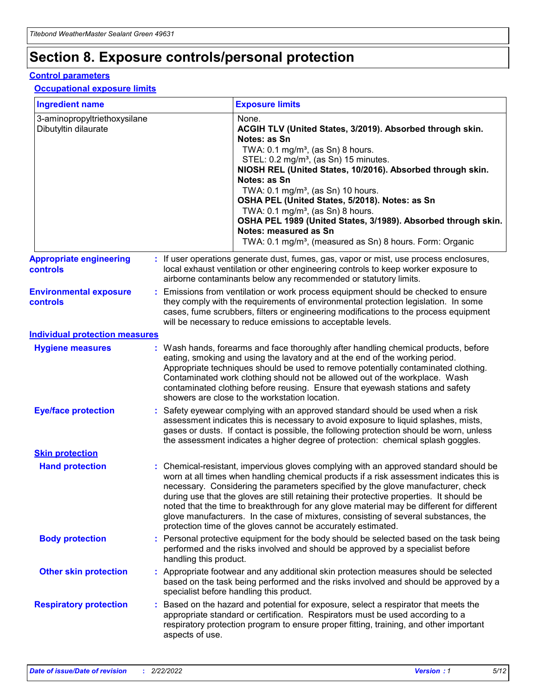## **Section 8. Exposure controls/personal protection**

#### **Control parameters**

#### **Occupational exposure limits**

| <b>Ingredient name</b>                               |    |                        | <b>Exposure limits</b>                                                                                                                                                                                                                                                                                                                                                                                                                                                                                                                                                                                                 |
|------------------------------------------------------|----|------------------------|------------------------------------------------------------------------------------------------------------------------------------------------------------------------------------------------------------------------------------------------------------------------------------------------------------------------------------------------------------------------------------------------------------------------------------------------------------------------------------------------------------------------------------------------------------------------------------------------------------------------|
| 3-aminopropyltriethoxysilane<br>Dibutyltin dilaurate |    |                        | None.<br>ACGIH TLV (United States, 3/2019). Absorbed through skin.<br>Notes: as Sn<br>TWA: 0.1 mg/m <sup>3</sup> , (as Sn) 8 hours.<br>STEL: 0.2 mg/m <sup>3</sup> , (as Sn) 15 minutes.<br>NIOSH REL (United States, 10/2016). Absorbed through skin.<br>Notes: as Sn<br>TWA: 0.1 mg/m <sup>3</sup> , (as Sn) 10 hours.<br>OSHA PEL (United States, 5/2018). Notes: as Sn<br>TWA: $0.1 \text{ mg/m}^3$ , (as Sn) 8 hours.<br>OSHA PEL 1989 (United States, 3/1989). Absorbed through skin.<br>Notes: measured as Sn<br>TWA: 0.1 mg/m <sup>3</sup> , (measured as Sn) 8 hours. Form: Organic                           |
| <b>Appropriate engineering</b><br>controls           |    |                        | : If user operations generate dust, fumes, gas, vapor or mist, use process enclosures,<br>local exhaust ventilation or other engineering controls to keep worker exposure to<br>airborne contaminants below any recommended or statutory limits.                                                                                                                                                                                                                                                                                                                                                                       |
| <b>Environmental exposure</b><br><b>controls</b>     |    |                        | Emissions from ventilation or work process equipment should be checked to ensure<br>they comply with the requirements of environmental protection legislation. In some<br>cases, fume scrubbers, filters or engineering modifications to the process equipment<br>will be necessary to reduce emissions to acceptable levels.                                                                                                                                                                                                                                                                                          |
| <b>Individual protection measures</b>                |    |                        |                                                                                                                                                                                                                                                                                                                                                                                                                                                                                                                                                                                                                        |
| <b>Hygiene measures</b>                              |    |                        | : Wash hands, forearms and face thoroughly after handling chemical products, before<br>eating, smoking and using the lavatory and at the end of the working period.<br>Appropriate techniques should be used to remove potentially contaminated clothing.<br>Contaminated work clothing should not be allowed out of the workplace. Wash<br>contaminated clothing before reusing. Ensure that eyewash stations and safety<br>showers are close to the workstation location.                                                                                                                                            |
| <b>Eye/face protection</b>                           |    |                        | Safety eyewear complying with an approved standard should be used when a risk<br>assessment indicates this is necessary to avoid exposure to liquid splashes, mists,<br>gases or dusts. If contact is possible, the following protection should be worn, unless<br>the assessment indicates a higher degree of protection: chemical splash goggles.                                                                                                                                                                                                                                                                    |
| <b>Skin protection</b>                               |    |                        |                                                                                                                                                                                                                                                                                                                                                                                                                                                                                                                                                                                                                        |
| <b>Hand protection</b>                               |    |                        | : Chemical-resistant, impervious gloves complying with an approved standard should be<br>worn at all times when handling chemical products if a risk assessment indicates this is<br>necessary. Considering the parameters specified by the glove manufacturer, check<br>during use that the gloves are still retaining their protective properties. It should be<br>noted that the time to breakthrough for any glove material may be different for different<br>glove manufacturers. In the case of mixtures, consisting of several substances, the<br>protection time of the gloves cannot be accurately estimated. |
| <b>Body protection</b>                               |    | handling this product. | Personal protective equipment for the body should be selected based on the task being<br>performed and the risks involved and should be approved by a specialist before                                                                                                                                                                                                                                                                                                                                                                                                                                                |
| <b>Other skin protection</b>                         |    |                        | : Appropriate footwear and any additional skin protection measures should be selected<br>based on the task being performed and the risks involved and should be approved by a<br>specialist before handling this product.                                                                                                                                                                                                                                                                                                                                                                                              |
| <b>Respiratory protection</b>                        | ÷. | aspects of use.        | Based on the hazard and potential for exposure, select a respirator that meets the<br>appropriate standard or certification. Respirators must be used according to a<br>respiratory protection program to ensure proper fitting, training, and other important                                                                                                                                                                                                                                                                                                                                                         |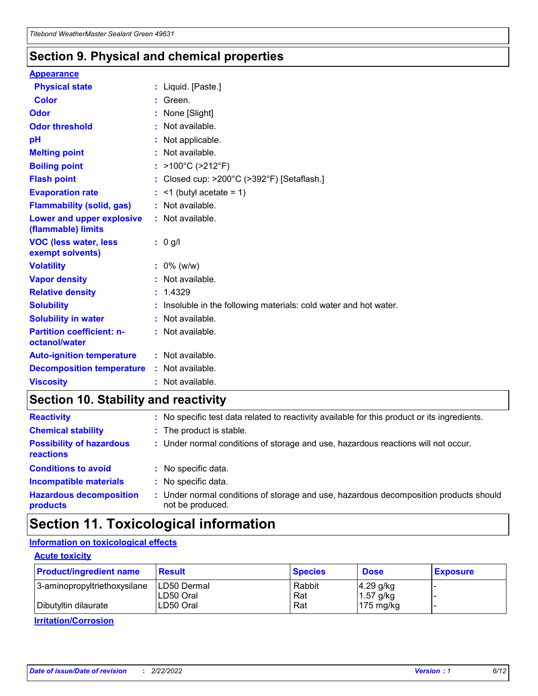### **Section 9. Physical and chemical properties**

#### **Appearance**

| <b>Physical state</b>                             | : Liquid. [Paste.]                                              |
|---------------------------------------------------|-----------------------------------------------------------------|
| Color                                             | Green.                                                          |
| Odor                                              | : None [Slight]                                                 |
| <b>Odor threshold</b>                             | $:$ Not available.                                              |
| рH                                                | : Not applicable.                                               |
| <b>Melting point</b>                              | : Not available.                                                |
| <b>Boiling point</b>                              | : >100°C (>212°F)                                               |
| <b>Flash point</b>                                | : Closed cup: $>200^{\circ}$ C ( $>392^{\circ}$ F) [Setaflash.] |
| <b>Evaporation rate</b>                           | $:$ <1 (butyl acetate = 1)                                      |
| <b>Flammability (solid, gas)</b>                  | : Not available.                                                |
| Lower and upper explosive<br>(flammable) limits   | : Not available.                                                |
| <b>VOC (less water, less</b>                      | $: 0$ g/l                                                       |
| exempt solvents)                                  |                                                                 |
| <b>Volatility</b>                                 | $: 0\%$ (w/w)                                                   |
| <b>Vapor density</b>                              | : Not available.                                                |
| <b>Relative density</b>                           | : 1.4329                                                        |
| <b>Solubility</b>                                 | Insoluble in the following materials: cold water and hot water. |
| <b>Solubility in water</b>                        | : Not available.                                                |
| <b>Partition coefficient: n-</b><br>octanol/water | $:$ Not available.                                              |
| <b>Auto-ignition temperature</b>                  | : Not available.                                                |
| <b>Decomposition temperature</b>                  | : Not available.                                                |

### **Section 10. Stability and reactivity**

| <b>Reactivity</b>                            | : No specific test data related to reactivity available for this product or its ingredients.            |
|----------------------------------------------|---------------------------------------------------------------------------------------------------------|
| <b>Chemical stability</b>                    | : The product is stable.                                                                                |
| <b>Possibility of hazardous</b><br>reactions | : Under normal conditions of storage and use, hazardous reactions will not occur.                       |
| <b>Conditions to avoid</b>                   | : No specific data.                                                                                     |
| <b>Incompatible materials</b>                | : No specific data.                                                                                     |
| <b>Hazardous decomposition</b><br>products   | Under normal conditions of storage and use, hazardous decomposition products should<br>not be produced. |

### **Section 11. Toxicological information**

### **Information on toxicological effects**

#### **Acute toxicity**

| <b>Product/ingredient name</b> | <b>Result</b>           | <b>Species</b> | <b>Dose</b>                | <b>Exposure</b> |
|--------------------------------|-------------------------|----------------|----------------------------|-----------------|
| 3-aminopropyltriethoxysilane   | <b>ILD50 Dermal</b>     | Rabbit         | 4.29 g/kg                  |                 |
| Dibutyltin dilaurate           | ILD50 Oral<br>LD50 Oral | Rat<br>Rat     | $1.57$ g/kg<br>175 $mg/kg$ |                 |
|                                |                         |                |                            |                 |

**Irritation/Corrosion**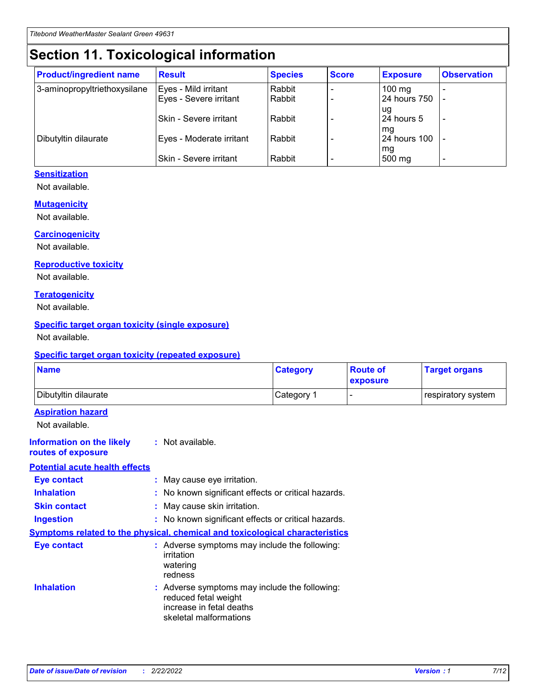## **Section 11. Toxicological information**

| <b>Product/ingredient name</b> | <b>Result</b>            | <b>Species</b> | <b>Score</b> | <b>Exposure</b>           | <b>Observation</b> |
|--------------------------------|--------------------------|----------------|--------------|---------------------------|--------------------|
| 3-aminopropyltriethoxysilane   | Eyes - Mild irritant     | Rabbit         |              | $100$ mg                  |                    |
|                                | Eyes - Severe irritant   | Rabbit         |              | 24 hours 750              |                    |
|                                |                          |                |              | ug                        |                    |
|                                | Skin - Severe irritant   | Rabbit         |              | 24 hours 5                | -                  |
| Dibutyltin dilaurate           | Eyes - Moderate irritant | Rabbit         |              | mq<br><b>24 hours 100</b> |                    |
|                                |                          |                |              | mg                        |                    |
|                                | Skin - Severe irritant   | Rabbit         |              | 500 mg                    |                    |

#### **Sensitization**

Not available.

#### **Mutagenicity**

Not available.

#### **Carcinogenicity**

Not available.

#### **Reproductive toxicity**

Not available.

#### **Teratogenicity**

Not available.

#### **Specific target organ toxicity (single exposure)**

Not available.

#### **Specific target organ toxicity (repeated exposure)**

| <b>Name</b>                                                                  |                                                                                                                             | <b>Category</b> | <b>Route of</b><br>exposure  | <b>Target organs</b> |
|------------------------------------------------------------------------------|-----------------------------------------------------------------------------------------------------------------------------|-----------------|------------------------------|----------------------|
| Dibutyltin dilaurate                                                         |                                                                                                                             | Category 1      | $\qquad \qquad \blacksquare$ | respiratory system   |
| <b>Aspiration hazard</b><br>Not available.                                   |                                                                                                                             |                 |                              |                      |
| <b>Information on the likely</b><br>routes of exposure                       | : Not available.                                                                                                            |                 |                              |                      |
| <b>Potential acute health effects</b>                                        |                                                                                                                             |                 |                              |                      |
| <b>Eye contact</b>                                                           | : May cause eye irritation.                                                                                                 |                 |                              |                      |
| <b>Inhalation</b>                                                            | : No known significant effects or critical hazards.                                                                         |                 |                              |                      |
| <b>Skin contact</b>                                                          | : May cause skin irritation.                                                                                                |                 |                              |                      |
| <b>Ingestion</b>                                                             | : No known significant effects or critical hazards.                                                                         |                 |                              |                      |
| Symptoms related to the physical, chemical and toxicological characteristics |                                                                                                                             |                 |                              |                      |
| <b>Eye contact</b>                                                           | : Adverse symptoms may include the following:<br>irritation<br>watering<br>redness                                          |                 |                              |                      |
| <b>Inhalation</b>                                                            | : Adverse symptoms may include the following:<br>reduced fetal weight<br>increase in fetal deaths<br>skeletal malformations |                 |                              |                      |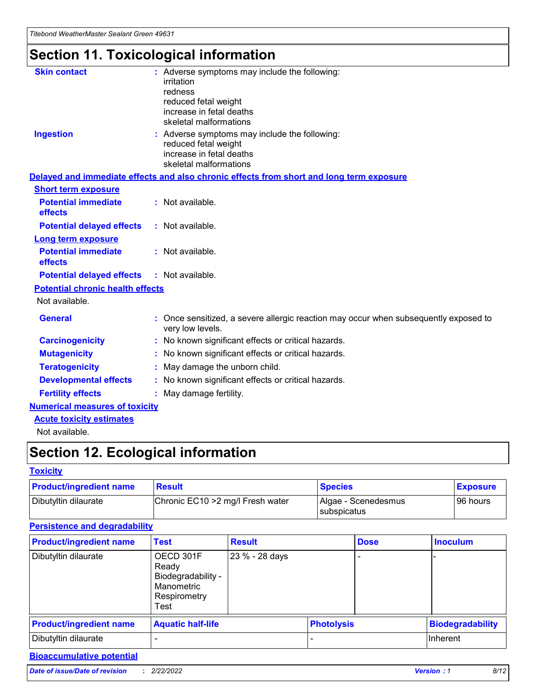# **Section 11. Toxicological information**

| <b>Skin contact</b>                     | : Adverse symptoms may include the following:<br>irritation<br>redness<br>reduced fetal weight<br>increase in fetal deaths<br>skeletal malformations |  |
|-----------------------------------------|------------------------------------------------------------------------------------------------------------------------------------------------------|--|
| <b>Ingestion</b>                        | : Adverse symptoms may include the following:<br>reduced fetal weight<br>increase in fetal deaths<br>skeletal malformations                          |  |
|                                         | Delayed and immediate effects and also chronic effects from short and long term exposure                                                             |  |
| <b>Short term exposure</b>              |                                                                                                                                                      |  |
| <b>Potential immediate</b><br>effects   | : Not available.                                                                                                                                     |  |
| <b>Potential delayed effects</b>        | : Not available.                                                                                                                                     |  |
| <b>Long term exposure</b>               |                                                                                                                                                      |  |
| <b>Potential immediate</b><br>effects   | : Not available.                                                                                                                                     |  |
| <b>Potential delayed effects</b>        | : Not available.                                                                                                                                     |  |
| <b>Potential chronic health effects</b> |                                                                                                                                                      |  |
| Not available.                          |                                                                                                                                                      |  |
| <b>General</b>                          | : Once sensitized, a severe allergic reaction may occur when subsequently exposed to<br>very low levels.                                             |  |
| <b>Carcinogenicity</b>                  | : No known significant effects or critical hazards.                                                                                                  |  |
| <b>Mutagenicity</b>                     | : No known significant effects or critical hazards.                                                                                                  |  |
| <b>Teratogenicity</b>                   | May damage the unborn child.                                                                                                                         |  |
| <b>Developmental effects</b>            | : No known significant effects or critical hazards.                                                                                                  |  |
| <b>Fertility effects</b>                | May damage fertility.                                                                                                                                |  |
| <b>Numerical measures of toxicity</b>   |                                                                                                                                                      |  |
| <b>Acute toxicity estimates</b>         |                                                                                                                                                      |  |
| الملحلة والمستنصر بالمسلط               |                                                                                                                                                      |  |

Not available.

## **Section 12. Ecological information**

#### **Toxicity**

| <b>Product/ingredient name</b> | <b>Result</b>                     | <b>Species</b>                       | <b>Exposure</b> |
|--------------------------------|-----------------------------------|--------------------------------------|-----------------|
| Dibutyltin dilaurate           | Chronic EC10 > 2 mg/l Fresh water | Algae - Scenedesmus<br>I subspicatus | l 96 hours      |

### **Persistence and degradability**

| <b>Product/ingredient name</b> | <b>Test</b>                                                                    | <b>Result</b>  |                   | <b>Dose</b> | <b>Inoculum</b>         |
|--------------------------------|--------------------------------------------------------------------------------|----------------|-------------------|-------------|-------------------------|
| Dibutyltin dilaurate           | OECD 301F<br>Ready<br>Biodegradability -<br>Manometric<br>Respirometry<br>Test | 23 % - 28 days |                   |             |                         |
| <b>Product/ingredient name</b> | <b>Aquatic half-life</b>                                                       |                | <b>Photolysis</b> |             | <b>Biodegradability</b> |
| Dibutyltin dilaurate           |                                                                                |                |                   |             | Inherent                |

### **Bioaccumulative potential**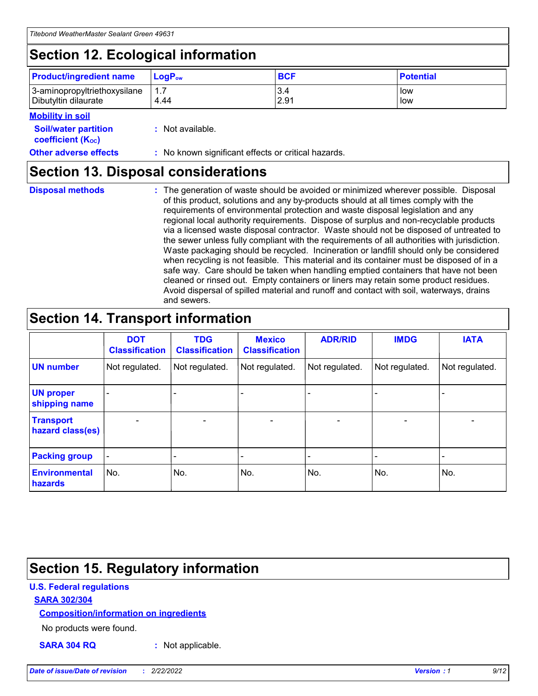## **Section 12. Ecological information**

| <b>Product/ingredient name</b> | $LoaPow$ | <b>BCF</b> | <b>Potential</b> |
|--------------------------------|----------|------------|------------------|
| 3-aminopropyltriethoxysilane   | 1.7      | 3.4        | low              |
| Dibutyltin dilaurate           | 4.44     | 2.91       | low              |

#### **Mobility in soil**

| <i></i>                                                       |                                                     |
|---------------------------------------------------------------|-----------------------------------------------------|
| <b>Soil/water partition</b><br>coefficient (K <sub>oc</sub> ) | : Not available.                                    |
| <b>Other adverse effects</b>                                  | : No known significant effects or critical hazards. |

### **Section 13. Disposal considerations**

**Disposal methods :**

The generation of waste should be avoided or minimized wherever possible. Disposal of this product, solutions and any by-products should at all times comply with the requirements of environmental protection and waste disposal legislation and any regional local authority requirements. Dispose of surplus and non-recyclable products via a licensed waste disposal contractor. Waste should not be disposed of untreated to the sewer unless fully compliant with the requirements of all authorities with jurisdiction. Waste packaging should be recycled. Incineration or landfill should only be considered when recycling is not feasible. This material and its container must be disposed of in a safe way. Care should be taken when handling emptied containers that have not been cleaned or rinsed out. Empty containers or liners may retain some product residues. Avoid dispersal of spilled material and runoff and contact with soil, waterways, drains and sewers.

## **Section 14. Transport information**

|                                      | <b>DOT</b><br><b>Classification</b> | <b>TDG</b><br><b>Classification</b> | <b>Mexico</b><br><b>Classification</b> | <b>ADR/RID</b>               | <b>IMDG</b>    | <b>IATA</b>    |
|--------------------------------------|-------------------------------------|-------------------------------------|----------------------------------------|------------------------------|----------------|----------------|
| <b>UN number</b>                     | Not regulated.                      | Not regulated.                      | Not regulated.                         | Not regulated.               | Not regulated. | Not regulated. |
| <b>UN proper</b><br>shipping name    |                                     |                                     |                                        |                              |                |                |
| <b>Transport</b><br>hazard class(es) | $\blacksquare$                      | $\overline{\phantom{0}}$            | $\overline{\phantom{a}}$               | $\qquad \qquad \blacksquare$ | $\blacksquare$ | $\blacksquare$ |
| <b>Packing group</b>                 | $\overline{\phantom{a}}$            | -                                   |                                        | -                            |                | -              |
| <b>Environmental</b><br>hazards      | No.                                 | No.                                 | No.                                    | No.                          | No.            | No.            |

## **Section 15. Regulatory information**

#### **U.S. Federal regulations**

#### **SARA 302/304**

#### **Composition/information on ingredients**

No products were found.

**SARA 304 RQ :** Not applicable.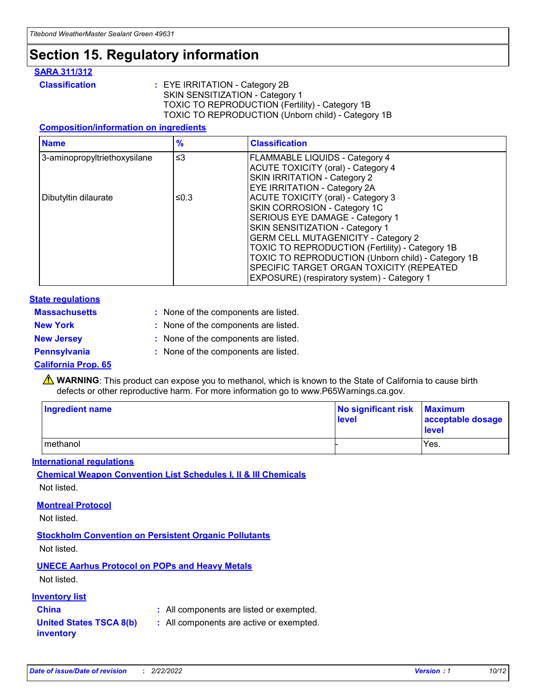## **Section 15. Regulatory information**

#### **SARA 311/312**

**Classification :** EYE IRRITATION - Category 2B SKIN SENSITIZATION - Category 1 TOXIC TO REPRODUCTION (Fertility) - Category 1B TOXIC TO REPRODUCTION (Unborn child) - Category 1B

#### **Composition/information on ingredients**

| <b>Name</b>                  | $\frac{9}{6}$ | <b>Classification</b>                                  |
|------------------------------|---------------|--------------------------------------------------------|
| 3-aminopropyltriethoxysilane | $\leq$ 3      | <b>FLAMMABLE LIQUIDS - Category 4</b>                  |
|                              |               | <b>ACUTE TOXICITY (oral) - Category 4</b>              |
|                              |               | SKIN IRRITATION - Category 2                           |
|                              |               | EYE IRRITATION - Category 2A                           |
| Dibutyltin dilaurate         | ≤0.3          | <b>ACUTE TOXICITY (oral) - Category 3</b>              |
|                              |               | SKIN CORROSION - Category 1C                           |
|                              |               | SERIOUS EYE DAMAGE - Category 1                        |
|                              |               | SKIN SENSITIZATION - Category 1                        |
|                              |               | <b>GERM CELL MUTAGENICITY - Category 2</b>             |
|                              |               | <b>TOXIC TO REPRODUCTION (Fertility) - Category 1B</b> |
|                              |               | TOXIC TO REPRODUCTION (Unborn child) - Category 1B     |
|                              |               | SPECIFIC TARGET ORGAN TOXICITY (REPEATED               |
|                              |               | EXPOSURE) (respiratory system) - Category 1            |

#### **State regulations**

| <b>Massachusetts</b> | : None of the components are listed. |
|----------------------|--------------------------------------|
| <b>New York</b>      | : None of the components are listed. |
| <b>New Jersey</b>    | : None of the components are listed. |
| <b>Pennsylvania</b>  | : None of the components are listed. |

#### **California Prop. 65**

**A** WARNING: This product can expose you to methanol, which is known to the State of California to cause birth defects or other reproductive harm. For more information go to www.P65Warnings.ca.gov.

| <b>Ingredient name</b> | No significant risk Maximum<br>level | acceptable dosage<br>level |
|------------------------|--------------------------------------|----------------------------|
| methanol               |                                      | Yes.                       |

#### **International regulations**

**Chemical Weapon Convention List Schedules I, II & III Chemicals** Not listed.

#### **Montreal Protocol**

Not listed.

**Stockholm Convention on Persistent Organic Pollutants**

Not listed.

### **UNECE Aarhus Protocol on POPs and Heavy Metals**

Not listed.

#### **Inventory list**

### **China :** All components are listed or exempted.

**United States TSCA 8(b) inventory :** All components are active or exempted.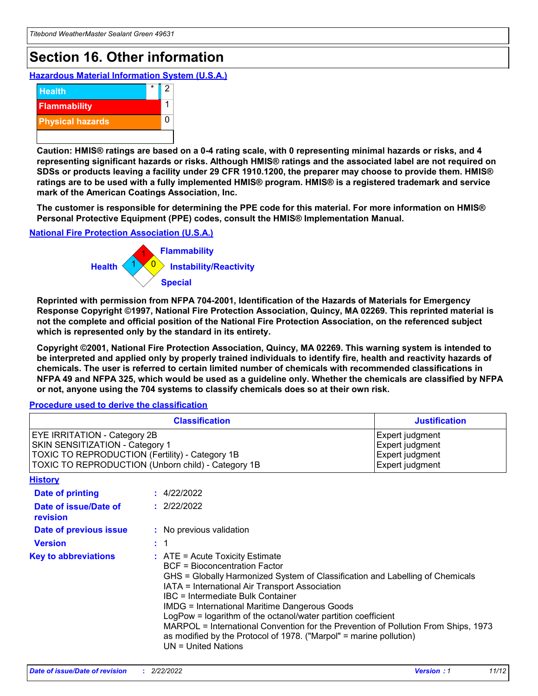## **Section 16. Other information**

**Hazardous Material Information System (U.S.A.)**



**Caution: HMIS® ratings are based on a 0-4 rating scale, with 0 representing minimal hazards or risks, and 4 representing significant hazards or risks. Although HMIS® ratings and the associated label are not required on SDSs or products leaving a facility under 29 CFR 1910.1200, the preparer may choose to provide them. HMIS® ratings are to be used with a fully implemented HMIS® program. HMIS® is a registered trademark and service mark of the American Coatings Association, Inc.**

**The customer is responsible for determining the PPE code for this material. For more information on HMIS® Personal Protective Equipment (PPE) codes, consult the HMIS® Implementation Manual.**

#### **National Fire Protection Association (U.S.A.)**



**Reprinted with permission from NFPA 704-2001, Identification of the Hazards of Materials for Emergency Response Copyright ©1997, National Fire Protection Association, Quincy, MA 02269. This reprinted material is not the complete and official position of the National Fire Protection Association, on the referenced subject which is represented only by the standard in its entirety.**

**Copyright ©2001, National Fire Protection Association, Quincy, MA 02269. This warning system is intended to be interpreted and applied only by properly trained individuals to identify fire, health and reactivity hazards of chemicals. The user is referred to certain limited number of chemicals with recommended classifications in NFPA 49 and NFPA 325, which would be used as a guideline only. Whether the chemicals are classified by NFPA or not, anyone using the 704 systems to classify chemicals does so at their own risk.**

#### **Procedure used to derive the classification**

| <b>Classification</b>                                                                                                                                                           |  |                                                                                                                                                                                                                                                                                                                                                                                                                                                                                                                                                                                 | <b>Justification</b>                                                     |
|---------------------------------------------------------------------------------------------------------------------------------------------------------------------------------|--|---------------------------------------------------------------------------------------------------------------------------------------------------------------------------------------------------------------------------------------------------------------------------------------------------------------------------------------------------------------------------------------------------------------------------------------------------------------------------------------------------------------------------------------------------------------------------------|--------------------------------------------------------------------------|
| <b>EYE IRRITATION - Category 2B</b><br>SKIN SENSITIZATION - Category 1<br>TOXIC TO REPRODUCTION (Fertility) - Category 1B<br>TOXIC TO REPRODUCTION (Unborn child) - Category 1B |  |                                                                                                                                                                                                                                                                                                                                                                                                                                                                                                                                                                                 | Expert judgment<br>Expert judgment<br>Expert judgment<br>Expert judgment |
| <b>History</b>                                                                                                                                                                  |  |                                                                                                                                                                                                                                                                                                                                                                                                                                                                                                                                                                                 |                                                                          |
| <b>Date of printing</b>                                                                                                                                                         |  | : 4/22/2022                                                                                                                                                                                                                                                                                                                                                                                                                                                                                                                                                                     |                                                                          |
| Date of issue/Date of<br>revision                                                                                                                                               |  | : 2/22/2022                                                                                                                                                                                                                                                                                                                                                                                                                                                                                                                                                                     |                                                                          |
| Date of previous issue                                                                                                                                                          |  | : No previous validation                                                                                                                                                                                                                                                                                                                                                                                                                                                                                                                                                        |                                                                          |
| <b>Version</b>                                                                                                                                                                  |  | $\therefore$ 1                                                                                                                                                                                                                                                                                                                                                                                                                                                                                                                                                                  |                                                                          |
| <b>Key to abbreviations</b>                                                                                                                                                     |  | $\therefore$ ATE = Acute Toxicity Estimate<br><b>BCF</b> = Bioconcentration Factor<br>GHS = Globally Harmonized System of Classification and Labelling of Chemicals<br>IATA = International Air Transport Association<br><b>IBC</b> = Intermediate Bulk Container<br><b>IMDG = International Maritime Dangerous Goods</b><br>LogPow = logarithm of the octanol/water partition coefficient<br>MARPOL = International Convention for the Prevention of Pollution From Ships, 1973<br>as modified by the Protocol of 1978. ("Marpol" = marine pollution)<br>$UN = United Nations$ |                                                                          |